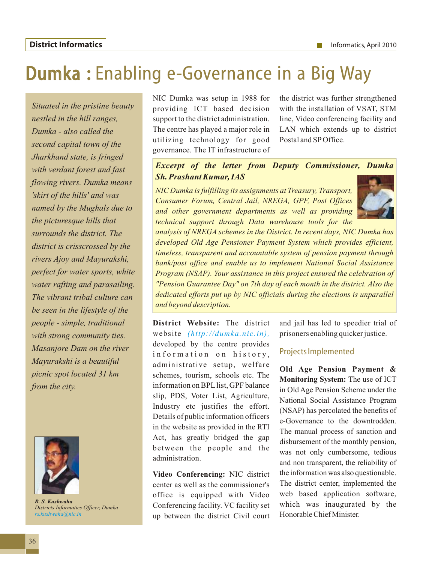## Dumka : Enabling e-Governance in a Big Way

*Situated in the pristine beauty nestled in the hill ranges, Dumka - also called the second capital town of the Jharkhand state, is fringed with verdant forest and fast flowing rivers. Dumka means 'skirt of the hills' and was named by the Mughals due to the picturesque hills that surrounds the district. The district is crisscrossed by the rivers Ajoy and Mayurakshi, perfect for water sports, white water rafting and parasailing. The vibrant tribal culture can be seen in the lifestyle of the people - simple, traditional with strong community ties. Masanjore Dam on the river Mayurakshi is a beautiful picnic spot located 31 km from the city.* 



*R. S. Kushwaha Districts Informatics Officer, Dumka rs.kushwaha@nic.in* 

NIC Dumka was setup in 1988 for providing ICT based decision support to the district administration. The centre has played a major role in utilizing technology for good governance. The IT infrastructure of

the district was further strengthened with the installation of VSAT, STM line, Video conferencing facility and LAN which extends up to district Postal and SPOffice.

## *Excerpt of the letter from Deputy Commissioner, Dumka Sh. Prashant Kumar, IAS*

*NIC Dumka is fulfilling its assignments at Treasury, Transport, Consumer Forum, Central Jail, NREGA, GPF, Post Offices and other government departments as well as providing technical support through Data warehouse tools for the* 



*analysis of NREGA schemes in the District. In recent days, NIC Dumka has developed Old Age Pensioner Payment System which provides efficient, timeless, transparent and accountable system of pension payment through bank/post office and enable us to implement National Social Assistance Program (NSAP). Your assistance in this project ensured the celebration of "Pension Guarantee Day" on 7th day of each month in the district. Also the dedicated efforts put up by NIC officials during the elections is unparallel and beyond description.*

**District Website:** The district website *(http://dumka.nic.in),* developed by the centre provides information on history, administrative setup, welfare schemes, tourism, schools etc. The information on BPLlist, GPF balance slip, PDS, Voter List, Agriculture, Industry etc justifies the effort. Details of public information officers in the website as provided in the RTI Act, has greatly bridged the gap between the people and the administration.

**Video Conferencing:** NIC district center as well as the commissioner's office is equipped with Video Conferencing facility. VC facility set up between the district Civil court

and jail has led to speedier trial of prisoners enabling quicker justice.

## Projects Implemented

**Old Age Pension Payment & Monitoring System:** The use of ICT in Old Age Pension Scheme under the National Social Assistance Program (NSAP) has percolated the benefits of e-Governance to the downtrodden. The manual process of sanction and disbursement of the monthly pension, was not only cumbersome, tedious and non transparent, the reliability of the information was also questionable. The district center, implemented the web based application software, which was inaugurated by the Honorable Chief Minister.